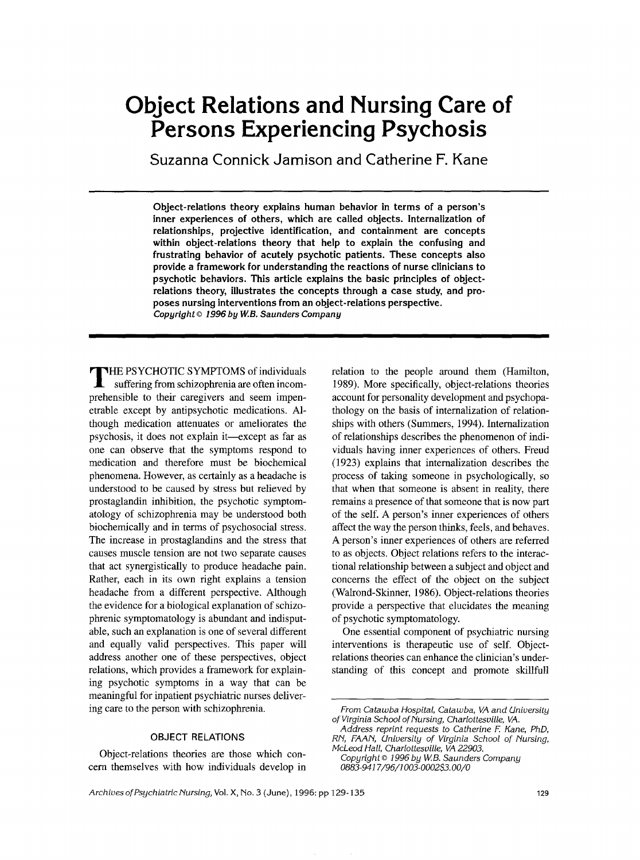# **Object Relations and Nursing Care of Performal Pursing Care of Species 2.5 Persons Persons Experiencing Psychosis**

Suzanna Connick Jamison and Catherine F. Kane

**inner experiences of others, which are** called objects. Internalization of

Obiect-relations theory explains human behavior in terms of a person's inner experiences of others, which are called objects. Internalization of relationships, projective identification, and containment are concepts within object-relations theory that help to explain the confusing and frustrating behavior of acutely psychotic patients. These concepts also provide a framework for understanding the reactions of nurse clinicians to psychotic behaviors. This article explains the basic principles of objectrelations theory, illustrates the concepts through a case study, and proposes nursing interventions from an object-relations perspective. Copyright © 1996 by W.B. Saunders Company

**T** HE PSYCHOTIC SYMPTOMS of individuals  $p$  **THE PSYCHOTIC SYMPTOMS of individuals** suffering from schizophrenia are often incomprehensible to their caregivers and seem impenetrable except by antipsychotic medications. Although medication attenuates or ameliorates the psychosis, it does not explain it—except as far as one can observe that the symptoms respond to medication and therefore must be biochemical phenomena. However, as certainly as a headache is understood to be caused by stress but relieved by prostagland in inhibition, the psychotic symptomatology of schizophrenia may be understood both biochemically and in terms of psychosocial stress. The increase in prostaglandins and the stress that causes muscle tension are not two separate causes that act synergistically to produce headache pain. Rather, each in its own right explains a tension headache from a different perspective. Although the evidence for a biological explanation of schizophrenic symptomatology is abundant and indisputable, such an explanation is one of several different and equally valid perspectives. This paper will address another one of these perspectives, object relations, which provides a framework for explaining psychotic symptoms in a way that can be meaningful for inpatient psychiatric nurses delivering care to the person with schizophrenia.

#### OBJECT-RELATIONS cered themselves with how individuals and individuals develop in the self-

cern themselves with how individuals develop in 0883-9417/96/1003-0002\$3.00/0

relation to the people around them (Hamilton, 1989). More specifically, object-relations theories account for personality development and psychopathology on the basis of internalization of relationships with others (Summers, 1994). Internalization of relationships describes the phenomenon of individuals having inner experiences of others. Freud  $(1923)$  explains that internalization describes the process of taking someone in psychologically, so that when that someone is absent in reality, there remains a presence of that someone that is now part of the self. A person's inner experiences of others affect the way the person thinks, feels, and behaves. A person's inner experiences of others are referred to as objects. Object relations refers to the interactional relationship between a subject and object and concerns the effect of the object on the subject (Walrond-Skinner, 1986). Object-relations theories provide a perspective that elucidates the meaning of psychotic symptomatology.

One essential component of psychiatric nursing interventions is therapeutic use of self. Object-<br>relations theories can enhance the clinician's understanding of this concept and promote skillfull

*of Virginia School of Nursing, Charlottesville, VA.* 

From Catawba Hospital, Catawba, VA and University of Virginia School of Nursing, Charlottesville, VA.

Address reprint requests to Catherine F. Kane, PhD, RN, FAAN, University of Virginia School of Nursing, *McLeod Hall, Charlottesville, VA 22903.* 

Copyright © 1996 by W.B. Saunders Company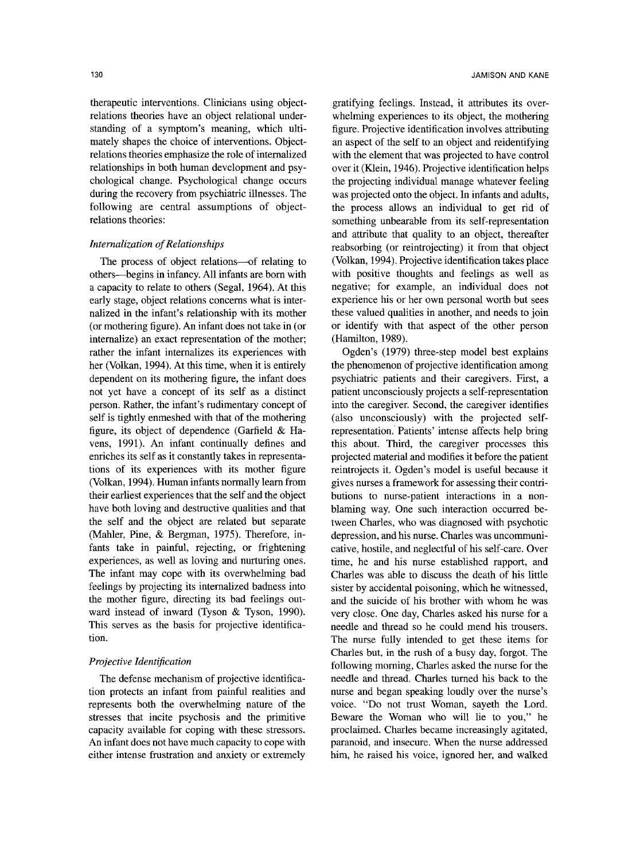therapeutic interventions. Clinicians using objectrelations theories have an object relational understanding of a symptom's meaning, which ultimately shapes the choice of interventions. Objectrelations theories emphasize the role of internalized relationships in both human development and psychological change. Psychological change occurs during the recovery from psychiatric illnesses. The following are central assumptions of objectrelations theories:

## *Internalization of Relationships*

The process of object relations---of relating to others--begins in infancy. All infants are born with a capacity to relate to others (Segal, 1964). At this early stage, object relations concerns what is internalized in the infant's relationship with its mother (or mothering figure). An infant does not take in (or internalize) an exact representation of the mother; rather the infant internalizes its experiences with her (Volkan, 1994). At this time, when it is entirely dependent on its mothering figure, the infant does not yet have a concept of its self as a distinct person. Rather, the infant's rudimentary concept of self is tightly enmeshed with that of the mothering figure, its object of dependence (Garfield & Havens, 1991). An infant continually defines and enriches its self as it constantly takes in representations of its experiences with its mother figure (Volkan, 1994). Human infants normally learn from their earliest experiences that the self and the object have both loving and destructive qualities and that the self and the object are related but separate (Mahler, Pine, & Bergman, 1975). Therefore, infants take in painful, rejecting, or frightening experiences, as well as loving and nurturing ones. The infant may cope with its overwhelming bad feelings by projecting its internalized badness into the mother figure, directing its bad feelings outward instead of inward (Tyson & Tyson, 1990). This serves as the basis for projective identification.

### *Projective Identification*

The defense mechanism of projective identification protects an infant from painful realities and represents both the overwhelming nature of the stresses that incite psychosis and the primitive capacity available for coping with these stressors. An infant does not have much capacity to cope with either intense frustration and anxiety or extremely

gratifying feelings. Instead, it attributes its overwhelming experiences to its object, the mothering figure. Projective identification involves attributing an aspect of the self to an object and reidentifying with the element that was projected to have control over it (Klein, 1946). Projective identification helps the projecting individual manage whatever feeling was projected onto the object. In infants and adults, the process allows an individual to get rid of something unbearable from its self-representation and attribute that quality to an object, thereafter reabsorbing (or reintrojecting) it from that object (Volkan, 1994). Projective identification takes place with positive thoughts and feelings as well as negative; for example, an individual does not experience his or her own personal worth but sees these valued qualities in another, and needs to join or identify with that aspect of the other person (Hamilton, 1989).

Ogden's (1979) three-step model best explains the phenomenon of projective identification among psychiatric patients and their caregivers. First, a patient unconsciously projects a self-representation into the caregiver. Second, the caregiver identifies (also unconsciously) with the projected selfrepresentation.' Patients' intense affects help bring this about. Third, the caregiver processes this projected material and modifies it before the patient reintrojects it. Ogden's model is useful because it gives nurses a framework for assessing their contributions to nurse-patient interactions in a nonblaming way. One such interaction occurred between Charles, who was diagnosed with psychotic depression, and his nurse. Charles was uncommunicative, hostile, and neglectful of his self-care. Over time, he and his nurse established rapport, and Charles was able to discuss the death of his little sister by accidental poisoning, which he witnessed, and the suicide of his brother with whom he was very close. One day, Charles asked his nurse for a needle and thread so he could mend his trousers. The nurse fully intended to get these items for Charles but, in the rush of a busy day, forgot. The following morning, Charles asked the nurse for the needle and thread. Charles turned his back to the nurse and began speaking loudly over the nurse's voice. "Do not trust Woman, sayeth the Lord. Beware the Woman who will lie to you," he proclaimed. Charles became increasingly agitated, paranoid, and insecure. When the nurse addressed him, he raised his voice, ignored her, and walked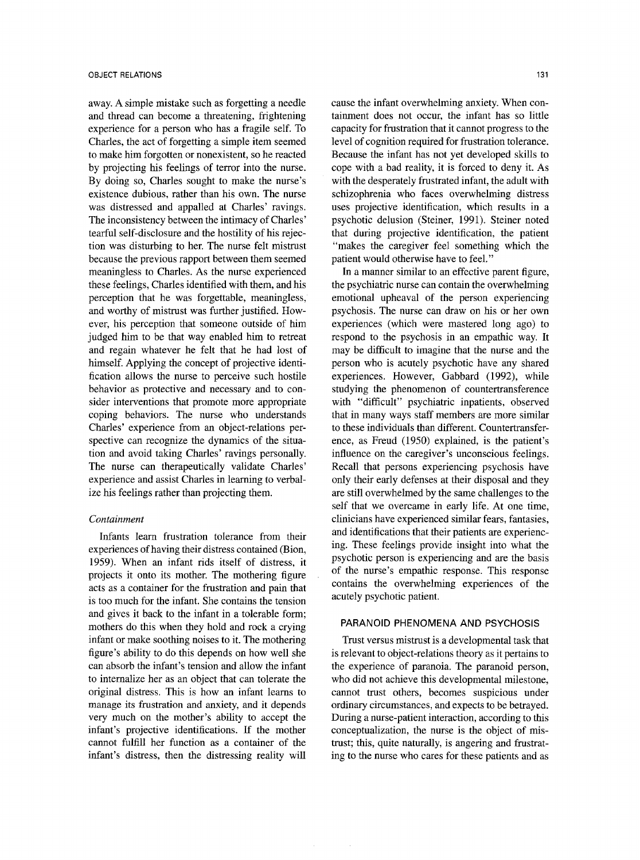away. A simple mistake such as forgetting a needle and thread can become a threatening, frightening experience for a person who has a fragile self. To Charles, the act of forgetting a simple item seemed to make him forgotten or nonexistent, so he reacted by projecting his feelings of terror into the nurse. By doing so, Charles sought to make the nurse's existence dubious, rather than his own. The nurse was distressed and appalled at Charles' ravings. The inconsistency between the intimacy of Charles' tearful self-disclosure and the hostility of his rejection was disturbing to her. The nurse felt mistrust because the previous rapport between them seemed meaningless to Charles. As the nurse experienced these feelings, Charles identified with them, and his perception that he was forgettable, meaningless, and worthy of mistrust was further justified. However, his perception that someone outside of him judged him to be that way enabled him to retreat and regain whatever he felt that he had lost of himself. Applying the concept of projective identification allows the nurse to perceive such hostile behavior as protective and necessary and to consider interventions that promote more appropriate coping behaviors. The nurse who understands Charles' experience from an object-relations perspective can recognize the dynamics of the situation and avoid taking Charles' ravings personally. The nurse can therapeutically validate Charles' experience and assist Charles in learning to verbalize his feelings rather than projecting them.

## *Containment*

Infants learn frustration tolerance from their experiences of having their distress contained (Bion, 1959). When an infant rids itself of distress, it projects it onto its mother. The mothering figure acts as a container for the frustration and pain that is too much for the infant. She contains the tension and gives it back to the infant in a tolerable form; mothers do this when they hold and rock a crying infant or make soothing noises to it. The mothering figure's ability to do this depends on how well she can absorb the infant's tension and allow the infant to internalize her as an object that can tolerate the original distress. This is how an infant learns to manage its frustration and anxiety, and it depends very much on the mother's ability to accept the infant's projective identifications. If the mother cannot fulfill her function as a container of the infant's distress, then the distressing reality will

cause the infant overwhelming anxiety. When containment does not occur, the infant has so little capacity for frustration that it cannot progress to the level of cognition required for frustration tolerance. Because the infant has not yet developed skills to cope with a bad reality, it is forced to deny it. As with the desperately frustrated infant, the adult with schizophrenia who faces overwhelming distress uses projective identification, which results in a psychotic delusion (Steiner, 1991). Steiner noted that during projective identification, the patient "makes the caregiver feel something which the patient would otherwise have to feel."

In a manner similar to an effective parent figure, the psychiatric nurse can contain the overwhelming emotional upheaval of the person experiencing psychosis. The nurse can draw on his or her own experiences (which were mastered long ago) to respond to the psychosis in an empathic way. It may be difficult to imagine that the nurse and the person who is acutely psychotic have any shared experiences. However, Gabbard (1992), while studying the phenomenon of countertransference with "difficult" psychiatric inpatients, observed that in many ways staff members are more similar to these individuals than different. Countertransference, as Freud (1950) explained, is the patient's influence on the caregiver's unconscious feelings. Recall that persons experiencing psychosis have only their early defenses at their disposal and they are still overwhelmed by the same challenges to the self that we overcame in early life. At one time, clinicians have experienced similar fears, fantasies, and identifications that their patients are experiencing. These feelings provide insight into what the psychotic person is experiencing and are the basis of the nurse's empathic response. This response contains the overwhelming experiences of the acutely psychotic patient.

## PARANOID PHENOMENA AND PSYCHOSIS

Trust versus mistrust is a developmental task that is relevant to object-relations theory as it pertains to the experience of paranoia. The paranoid person, who did not achieve this developmental milestone, cannot trust others, becomes suspicious under ordinary circumstances, and expects to be betrayed. During a nurse-patient interaction, according to this conceptualization, the nurse is the object of mistrust; this, quite naturally, is angering and frustrating to the nurse who cares for these patients and as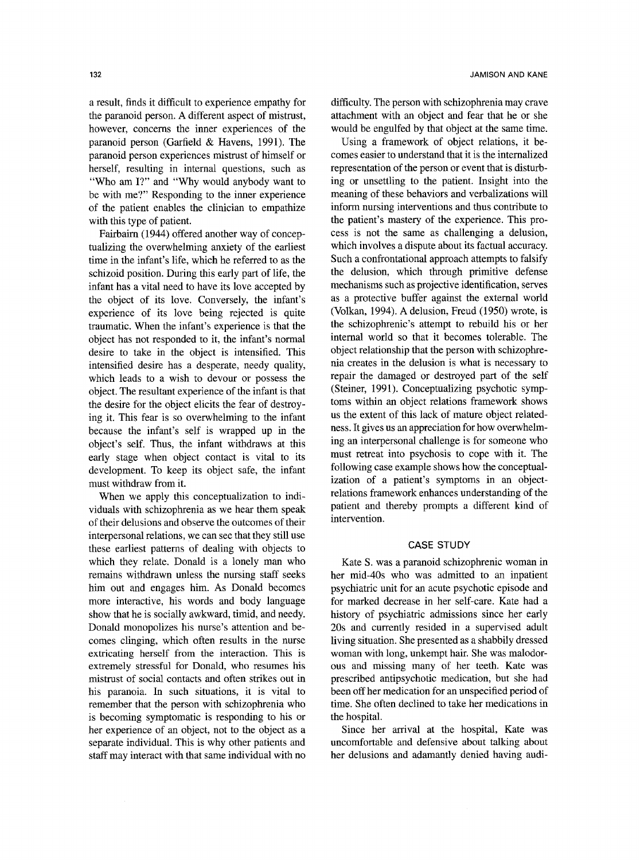a result, finds it difficult to experience empathy for the paranoid person. A different aspect of mistrust, however, concerns the inner experiences of the paranoid person (Garfield & Havens, 1991). The paranoid person experiences mistrust of himself or herself, resulting in internal questions, such as "Who am I?" and "Why would anybody want to be with me?" Responding to the inner experience of the patient enables the clinician to empathize with this type of patient.

Fairbairn (1944) offered another way of conceptualizing the overwhelming anxiety of the earliest time in the infant's life, which he referred to as the schizoid position. During this early part of life, the infant has a vital need to have its love accepted by the object of its love. Conversely, the infant's experience of its love being rejected is quite traumatic. When the infant's experience is that the object has not responded to it, the infant's normal desire to take in the object is intensified. This intensified desire has a desperate, needy quality, which leads to a wish to devour or possess the object. The resultant experience of the infant is that the desire for the object elicits the fear of destroying it. This fear is so overwhelming to the infant because the infant's self is wrapped up in the object's self. Thus, the infant withdraws at this early stage when object contact is vital to its development. To keep its object safe, the infant must withdraw from it.

When we apply this conceptualization to individuals with schizophrenia as we hear them speak of their delusions and observe the outcomes of their interpersonal relations, we can see that they still use these earliest patterns of dealing with objects to which they relate. Donald is a lonely man who remains withdrawn unless the nursing staff seeks him out and engages him. As Donald becomes more interactive, his words and body language show that he is socially awkward, timid, and needy. Donald monopolizes his nurse's attention and becomes clinging, which often results in the nurse extricating herself from the interaction. This is extremely stressful for Donald, who resumes his mistrust of social contacts and often strikes out in his paranoia. In such situations, it is vital to remember that the person with schizophrenia who is becoming symptomatic is responding to his or her experience of an object, not to the object as a separate individual. This is why other patients and staff may interact with that same individual with no difficulty. The person with schizophrenia may crave attachment with an object and fear that he or she would be engulfed by that object at the same time.

Using a framework of object relations, it becomes easier to understand that it is the internalized representation of the person or event that is disturbing or unsettling to the patient. Insight into the meaning of these behaviors and verbalizations will inform nursing interventions and thus contribute to the patient's mastery of the experience. This process is not the same as challenging a delusion, which involves a dispute about its factual accuracy. Such a confrontational approach attempts to falsify the delusion, which through primitive defense mechanisms such as projective identification, serves as a protective buffer against the external world (Volkan, 1994). A delusion, Freud (1950) wrote, is the schizophrenic's attempt to rebuild his or her internal world so that it becomes tolerable. The object relationship that the person with schizophrenia creates in the delusion is what is necessary to repair the damaged or destroyed part of the self (Steiner, 1991). Conceptualizing psychotic symptoms within an object relations framework shows us the extent of this lack of mature object relatedness. It gives us an appreciation for how overwhelming an interpersonal challenge is for someone who must retreat into psychosis to cope with it. The following case example shows how the conceptualization of a patient's symptoms in an objectrelations framework enhances understanding of the patient and thereby prompts a different kind of intervention.

#### CASE STUDY

Kate S. was a paranoid schizophrenic woman in her mid-40s who was admitted to an inpatient psychiatric unit for an acute psychotic episode and for marked decrease in her self-care. Kate had a history of psychiatric admissions since her early 20s and currently resided in a supervised adult living situation. She presented as a shabbily dressed woman with long, unkempt hair. She was malodorous and missing many of her teeth. Kate was prescribed antipsychotic medication, but she had been off her medication for an unspecified period of time. She often declined to take her medications in the hospital.

Since her arrival at the hospital, Kate was uncomfortable and defensive about talking about her delusions and adamantly denied having andi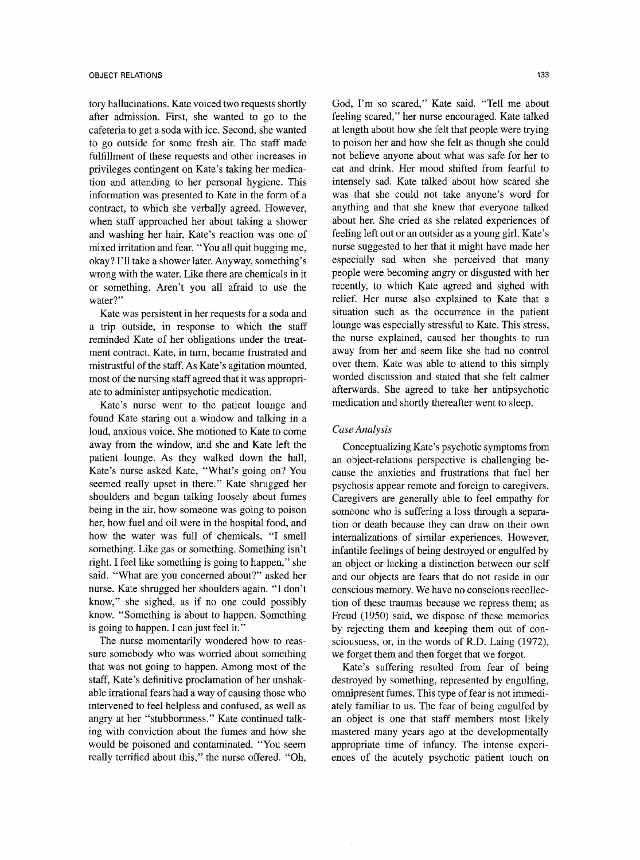tory hallucinations. Kate voiced two requests shortly after admission. First, she wanted to go to the cafeteria to get a soda with ice. Second, she wanted to go outside for some fresh air. The staff made fulfillment of these requests and other increases in privileges contingent on Kate's taking her medication and attending to her personal hygiene. This information was presented to Kate in the form of a contract, to which she verbally agreed. However, when staff approached her about taking a shower and washing her hair, Kate's reaction was one of mixed irritation and fear. "You all quit bugging me, okay? I'll take a shower later. Anyway, something's wrong with the water. Like there are chemicals in it or something. Aren't you all afraid to use the water?"

Kate was persistent in her requests for a soda and a trip outside, in response to which the staff reminded Kate of her obligations under the treatment contract. Kate, in turn, became frustrated and mistrustful of the staff. As Kate's agitation mounted, most of the nursing staff agreed that it was appropriate to administer antipsychotic medication.

Kate's nurse went to the patient lounge and found Kate staring out a window and talking in a loud, anxious voice. She motioned to Kate to come away from the window, and she and Kate left the patient lounge. As they walked down the hall, Kate's nurse asked Kate, "What's going on? You seemed really upset in there." Kate shrugged her shoulders and began talking loosely about fumes being in the air, how someone was going to poison her, how fuel and oil were in the hospital food, and how the water was full of chemicals. "I smell something. Like gas or something. Something isn't right. I feel like something is going to happen," she said. "What are you concerned about?" asked her nurse. Kate shrugged her shoulders again. "I don't know," she sighed, as if no one could possibly know. "Something is about to happen. Something is going to happen. I can just feel it."

The nurse momentarily wondered how to reassure somebody who was worried about something that was not going to happen. Among most of the staff, Kate's definitive proclamation of her unshakable irrational fears had a way of causing those who intervened to feel helpless and confused, as well as angry at her "stubbornness." Kate continued talking with conviction about the fumes and how she would be poisoned and contaminated. "You seem really terrified about this," the nurse offered. "Oh,

God, I'm so scared," Kate said. "Tell me about feeling scared," her nurse encouraged. Kate talked at length about how she felt that people were trying to poison her and how she felt as though she could not believe anyone about what was safe for her to eat and drink. Her mood shifted from fearful to intensely sad. Kate talked about how scared she was that she could not take anyone's word for anything and that she knew that everyone talked about her. She cried as she related experiences of feeling left out or an outsider as a young girl. Kate's nurse suggested to her that it might have made her especially sad when she perceived that many people were becoming angry or disgusted with her recently, to which Kate agreed and sighed with relief. Her nurse also explained to Kate that a situation such as the occurrence in the patient lounge was especially stressful to Kate. This stress, the nurse explained, caused her thoughts to run away from her and seem like she had no control over them. Kate was able to attend to this simply worded discussion and stated that she felt calmer afterwards. She agreed to take her antipsychotic medication and shortly thereafter went to sleep.

## *Case Analysis*

Conceptualizing Kate's psychotic symptoms from an object-relations perspective is challenging because the anxieties and frustrations that fuel her psychosis appear remote and foreign to caregivers. Caregivers are generally able to feel empathy for someone who is suffering a loss through a separation or death because they can draw on their own internalizations of similar experiences. However, infantile feelings of being destroyed or engulfed by an object or lacking a distinction between our self and our objects are fears that do not reside in our conscious memory. We have no conscious recollection of these traumas because we repress them; as Freud (1950) said, we dispose of these memories by rejecting them and keeping them out of consciousness, or, in the words of R.D. Laing (1972), we forget them and then forget that we forgot.

Kate's suffering resulted from fear of being destroyed by something, represented by engulfing, omnipresent fumes. This type of fear is not immediately familiar to us. The fear of being engulfed by an object is one that staff members most likely mastered many years ago at the developmentally appropriate time of infancy. The intense experiences of the acutely psychotic patient touch on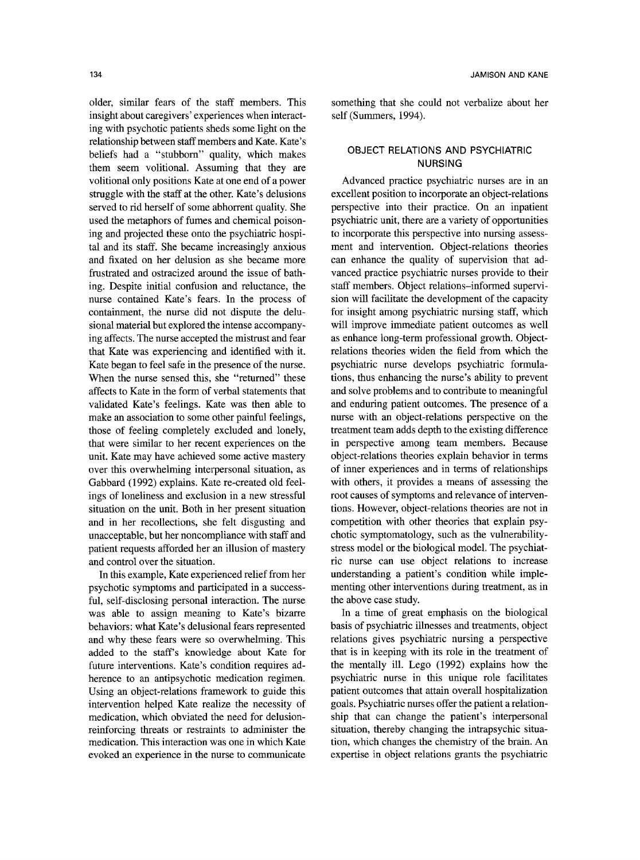older, similar fears of the staff members. This insight about caregivers' experiences when interacting with psychotic patients sheds some light on the relationship between staff members and Kate. Kate's beliefs had a "stubborn" quality, which makes them seem volitional. Assuming that they are volitional only positions Kate at one end of a power struggle with the staff at the other. Kate's delusions served to rid herself of some abhorrent quality. She used the metaphors of fumes and chemical poisoning and projected these onto the psychiatric hospital and its staff. She became increasingly anxious and fixated on her delusion as she became more frustrated and ostracized around the issue of bathing. Despite initial confusion and reluctance, the nurse contained Kate's fears. In the process of containment, the nurse did not dispute the delusional material but explored the intense accompanying affects. The nurse accepted the mistrust and fear that Kate was experiencing and identified with it. Kate began to feel safe in the presence of the nurse. When the nurse sensed this, she "returned" these affects to Kate in the form of verbal statements that validated Kate's feelings. Kate was then able to make an association to some other painful feelings, those of feeling completely excluded and lonely, that were similar to her recent experiences on the unit. Kate may have achieved some active mastery over this overwhelming interpersonal situation, as Gabbard (1992) explains. Kate re-created old feelings of loneliness and exclusion in a new stressful situation on the unit. Both in her present situation and in her recollections, she felt disgusting and unacceptable, but her noncompliance with staff and patient requests afforded her an illusion of mastery and control over the situation.

In this example, Kate experienced relief from her psychotic symptoms and participated in a successful, self-disclosing personal interaction. The nurse was able to assign meaning to Kate's bizarre behaviors: what Kate's delusional fears represented and why these fears were so overwhelming. This added to the staff's knowledge about Kate for future interventions. Kate's condition requires adherence to an antipsychotic medication regimen. Using an object-relations framework to guide this intervention helped Kate realize the necessity of medication, which obviated the need for delusionreinforcing threats or restraints to administer the medication. This interaction was one in which Kate evoked an experience in the nurse to communicate something that she could not verbalize about her self (Summers, 1994).

## OBJECT RELATIONS AND PSYCHIATRIC NURSING

Advanced practice psychiatric nurses are in an excellent position to incorporate an object-relations perspective into their practice. On an inpatient psychiatric unit, there are a variety of opportunities to incorporate this perspective into nursing assessment and intervention. Object-relations theories can enhance the quality of supervision that advanced practice psychiatric nurses provide to their staff members. Object relations-informed supervision will facilitate the development of the capacity for insight among psychiatric nursing staff, which will improve immediate patient outcomes as well as enhance long-term professional growth. Objectrelations theories widen the field from which the psychiatric nurse develops psychiatric formulations, thus enhancing the nurse's ability to prevent and solve problems and to contribute to meaningful and enduring patient outcomes. The presence of a nurse with an object-relations perspective on the treatment team adds depth to the existing difference in perspective among team members. Because object-relations theories explain behavior in terms of inner experiences and in terms of relationships with others, it provides a means of assessing the root causes of symptoms and relevance of interventions. However, object-relations theories are not in competition with other theories that explain psychotic symptomatology, such as the vulnerabilitystress model or the biological model. The psychiatric nurse can use object relations to increase understanding a patient's condition while implementing other interventions during treatment, as in the above case study.

In a time of great emphasis on the biological basis of psychiatric illnesses and treatments, object relations gives psychiatric nursing a perspective that is in keeping with its role in the treatment of the mentally ill. Lego (1992) explains how the psychiatric nurse in this unique role facilitates patient outcomes that attain overall hospitalization goals. Psychiatric nurses offer the patient a relationship that can change the patient's interpersonal situation, thereby changing the intrapsychic situation, which changes the chemistry of the brain. An expertise in object relations grants the psychiatric